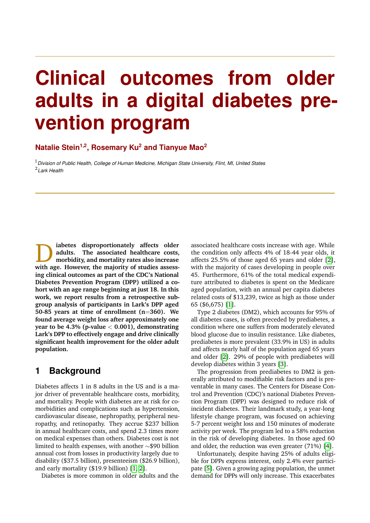# **Clinical outcomes from older adults in a digital diabetes prevention program**

**Natalie Stein1,2, Rosemary Ku<sup>2</sup> and Tianyue Mao<sup>2</sup>**

<sup>1</sup>*Division of Public Health, College of Human Medicine, Michigan State University, Flint, MI, United States* 2 *Lark Health*

D **iabetes disproportionately affects older adults. The associated healthcare costs, morbidity, and mortality rates also increase with age. However, the majority of studies assessing clinical outcomes as part of the CDC's National Diabetes Prevention Program (DPP) utilized a cohort with an age range beginning at just 18. In this work, we report results from a retrospective subgroup analysis of participants in Lark's DPP aged 50-85 years at time of enrollment (n**=**360). We found average weight loss after approximately one year to be 4.3% (p-value** < **0.001), demonstrating Lark's DPP to effectively engage and drive clinically significant health improvement for the older adult population.**

# **1 Background**

Diabetes affects 1 in 8 adults in the US and is a major driver of preventable healthcare costs, morbidity, and mortality. People with diabetes are at risk for comorbidities and complications such as hypertension, cardiovascular disease, nephropathy, peripheral neuropathy, and retinopathy. They accrue \$237 billion in annual healthcare costs, and spend 2.3 times more on medical expenses than others. Diabetes cost is not limited to health expenses, with another ∼\$90 billion annual cost from losses in productivity largely due to disability (\$37.5 billion), presenteeism (\$26.9 billion), and early mortality (\$19.9 billion) [\[1,](#page-2-0) [2\]](#page-2-1).

Diabetes is more common in older adults and the

associated healthcare costs increase with age. While the condition only affects 4% of 18-44 year olds, it affects 25.5% of those aged 65 years and older [\[2\]](#page-2-1), with the majority of cases developing in people over 45. Furthermore, 61% of the total medical expenditure attributed to diabetes is spent on the Medicare aged population, with an annual per capita diabetes related costs of \$13,239, twice as high as those under 65 (\$6,675) [\[1\]](#page-2-0).

Type 2 diabetes (DM2), which accounts for 95% of all diabetes cases, is often preceded by prediabetes, a condition where one suffers from moderately elevated blood glucose due to insulin resistance. Like diabetes, prediabetes is more prevalent (33.9% in US) in adults and affects nearly half of the population aged 65 years and older [\[2\]](#page-2-1). 29% of people with prediabetes will develop diabetes within 3 years [\[3\]](#page-2-2).

The progression from prediabetes to DM2 is generally attributed to modifiable risk factors and is preventable in many cases. The Centers for Disease Control and Prevention (CDC)'s national Diabetes Prevention Program (DPP) was designed to reduce risk of incident diabetes. Their landmark study, a year-long lifestyle change program, was focused on achieving 5-7 percent weight loss and 150 minutes of moderate activity per week. The program led to a 58% reduction in the risk of developing diabetes. In those aged 60 and older, the reduction was even greater (71%) [\[4\]](#page-2-3).

Unfortunately, despite having 25% of adults eligible for DPPs express interest, only 2.4% ever participate [\[5\]](#page-3-0). Given a growing aging population, the unmet demand for DPPs will only increase. This exacerbates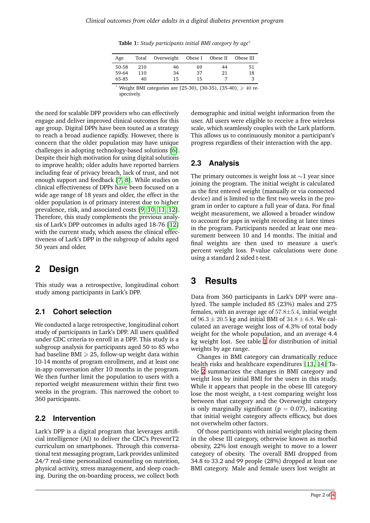**Table 1:** *Study participants initial BMI category by age*<sup>∗</sup>

| Age                     | Total            | Overweight Obese I Obese II |                |          | Obese III |
|-------------------------|------------------|-----------------------------|----------------|----------|-----------|
| 50-58<br>59-64<br>65-85 | 210<br>110<br>40 | 46<br>34<br>15              | 69<br>37<br>15 | 44<br>21 | 51<br>18  |

Weight BMI categories are [25-30), [30-35), [35-40),  $\geq 40$  respectively.

<span id="page-1-0"></span>the need for scalable DPP providers who can effectively engage and deliver improved clinical outcomes for this age group. Digital DPPs have been touted as a strategy to reach a broad audience rapidly. However, there is concern that the older population may have unique challenges in adopting technology-based solutions [\[6\]](#page-3-1). Despite their high motivation for using digital solutions to improve health; older adults have reported barriers including fear of privacy breach, lack of trust, and not enough support and feedback [\[7,](#page-3-2) [8\]](#page-3-3). While studies on clinical effectiveness of DPPs have been focused on a wide age range of 18 years and older, the effect in the older population is of primary interest due to higher prevalence, risk, and associated costs [\[9,](#page-3-4) [10,](#page-3-5) [11,](#page-3-6) [12\]](#page-3-7). Therefore, this study complements the previous analysis of Lark's DPP outcomes in adults aged 18-76 [\[12\]](#page-3-7) with the current study, which assess the clinical effectiveness of Lark's DPP in the subgroup of adults aged 50 years and older.

# **2 Design**

This study was a retrospective, longitudinal cohort study among participants in Lark's DPP.

# **2.1 Cohort selection**

We conducted a large retrospective, longitudinal cohort study of participants in Lark's DPP. All users qualified under CDC criteria to enroll in a DPP. This study is a subgroup analysis for participants aged 50 to 85 who had baseline BMI  $\geq$  25, follow-up weight data within 10-14 months of program enrollment, and at least one in-app conversation after 10 months in the program. We then further limit the population to users with a reported weight measurement within their first two weeks in the program. This narrowed the cohort to 360 participants.

#### **2.2 Intervention**

Lark's DPP is a digital program that leverages artificial intelligence (AI) to deliver the CDC's PreventT2 curriculum on smartphones. Through this conversational text messaging program, Lark provides unlimited 24/7 real-time personalized counseling on nutrition, physical activity, stress management, and sleep coaching. During the on-boarding process, we collect both

demographic and initial weight information from the user. All users were eligible to receive a free wireless scale, which seamlessly couples with the Lark platform. This allows us to continuously monitor a participant's progress regardless of their interaction with the app.

# **2.3 Analysis**

The primary outcomes is weight loss at  $\sim$ 1 year since joining the program. The initial weight is calculated as the first entered weight (manually or via connected device) and is limited to the first two weeks in the program in order to capture a full year of data. For final weight measurement, we allowed a broader window to account for gaps in weight recording at later times in the program. Participants needed at least one measurement between 10 and 14 months. The initial and final weights are then used to measure a user's percent weight loss. P-value calculations were done using a standard 2 sided t-test.

# **3 Results**

Data from 360 participants in Lark's DPP were analyzed. The sample included 85 (23%) males and 275 females, with an average age of  $57.8 \pm 5.4$ , initial weight of  $96.3 \pm 20.5$  kg and initial BMI of  $34.8 \pm 6.8$ . We calculated an average weight loss of 4.3% of total body weight for the whole population, and an average 4.4 kg weight lost. See table [1](#page-1-0) for distribution of initial weights by age range.

Changes in BMI category can dramatically reduce health risks and healthcare expenditures [\[13,](#page-3-8) [14\]](#page-3-9) Table [2](#page-2-4) summarizes the changes in BMI category and weight loss by initial BMI for the users in this study. While it appears that people in the obese III category lose the most weight, a t-test comparing weight loss between that category and the Overweight category is only marginally significant ( $p = 0.07$ ), indicating that initial weight category affects efficacy, but does not overwhelm other factors.

Of those participants with initial weight placing them in the obese III category, otherwise known as morbid obesity, 22% lost enough weight to move to a lower category of obesity. The overall BMI dropped from 34.8 to 33.2 and 99 people (28%) dropped at least one BMI category. Male and female users lost weight at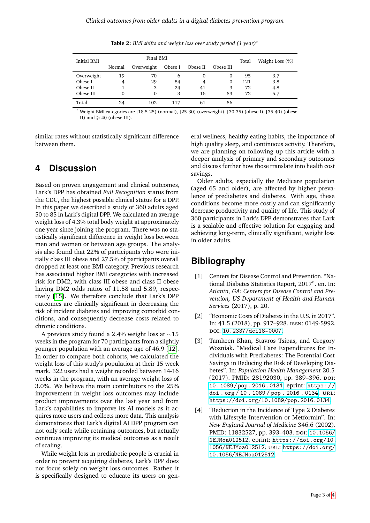<span id="page-2-4"></span>

| <b>Initial BMI</b> | Final BMI |            |         |          |           | Total | Weight Loss (%) |
|--------------------|-----------|------------|---------|----------|-----------|-------|-----------------|
|                    | Normal    | Overweight | Obese I | Obese II | Obese III |       |                 |
| Overweight         | 19        | 70         | b       | 0        | 0         | 95    | 3.7             |
| Obese I            | 4         | 29         | 84      |          | $\Omega$  | 121   | 3.8             |
| Obese II           |           | 3          | 24      | 41       | 3         | 72    | 4.8             |
| Obese III          |           | 0          | 3       | 16       | 53        | 72    | 5.7             |
| Total              | 24        | 102        | 117     |          | 56        |       |                 |

**Table 2:** *BMI shifts and weight loss over study period (1 year)*<sup>∗</sup>

Weight BMI categories are [18.5-25) (normal), [25-30) (overweight), [30-35) (obese I), [35-40) (obese II) and  $\geqslant$  40 (obese III).

similar rates without statistically significant difference between them.

# **4 Discussion**

Based on proven engagement and clinical outcomes, Lark's DPP has obtained *Full Recognition* status from the CDC, the highest possible clinical status for a DPP. In this paper we described a study of 360 adults aged 50 to 85 in Lark's digital DPP. We calculated an average weight loss of 4.3% total body weight at approximately one year since joining the program. There was no statistically significant difference in weight loss between men and women or between age groups. The analysis also found that 22% of participants who were initially class III obese and 27.5% of participants overall dropped at least one BMI category. Previous research has associated higher BMI categories with increased risk for DM2, with class III obese and class II obese having DM2 odds ratios of 11.58 and 5.89, respectively [\[15\]](#page-3-11). We therefore conclude that Lark's DPP outcomes are clinically significant in decreasing the risk of incident diabetes and improving comorbid conditions, and consequently decrease costs related to chronic conditions.

A previous study found a 2.4% weight loss at ∼15 weeks in the program for 70 participants from a slightly younger population with an average age of 46.9 [\[12\]](#page-3-7). In order to compare both cohorts, we calculated the weight loss of this study's population at their 15 week mark. 322 users had a weight recorded between 14-16 weeks in the program, with an average weight loss of 3.0%. We believe the main contributors to the 25% improvement in weight loss outcomes may include product improvements over the last year and from Lark's capabilities to improve its AI models as it acquires more users and collects more data. This analysis demonstrates that Lark's digital AI DPP program can not only scale while retaining outcomes, but actually continues improving its medical outcomes as a result of scaling.

While weight loss in prediabetic people is crucial in order to prevent acquiring diabetes, Lark's DPP does not focus solely on weight loss outcomes. Rather, it is specifically designed to educate its users on gen-

eral wellness, healthy eating habits, the importance of high quality sleep, and continuous activity. Therefore, we are planning on following up this article with a deeper analysis of primary and secondary outcomes and discuss further how those translate into health cost savings.

Older adults, especially the Medicare population (aged 65 and older), are affected by higher prevalence of prediabetes and diabetes. With age, these conditions become more costly and can significantly decrease productivity and quality of life. This study of 360 participants in Lark's DPP demonstrates that Lark is a scalable and effective solution for engaging and achieving long-term, clinically significant, weight loss in older adults.

# **Bibliography**

- <span id="page-2-0"></span>[1] Centers for Disease Control and Prevention. "National Diabetes Statistics Report, 2017". en. In: *Atlanta, GA: Centers for Disease Control and Prevention, US Department of Health and Human Services* (2017), p. 20.
- <span id="page-2-1"></span>[2] "Economic Costs of Diabetes in the U.S. in 2017". In: 41.5 (2018), pp. 917–928. issn: 0149-5992. doi: [10.2337/dci18-0007](https://doi.org/10.2337/dci18-0007).
- <span id="page-2-2"></span>[3] Tamkeen Khan, Stavros Tsipas, and Gregory Wozniak. "Medical Care Expenditures for Individuals with Prediabetes: The Potential Cost Savings in Reducing the Risk of Developing Diabetes". In: *Population Health Management* 20.5 (2017). PMID: 28192030, pp. 389–396. doi: [10.1089 /pop.2016 .0134](https://doi.org/10.1089/pop.2016.0134). eprint: [https:/ /](https://doi.org/10.1089/pop.2016.0134) [doi . org / 10 . 1089 / pop . 2016 . 0134](https://doi.org/10.1089/pop.2016.0134). url: <https://doi.org/10.1089/pop.2016.0134>.
- <span id="page-2-3"></span>[4] "Reduction in the Incidence of Type 2 Diabetes with Lifestyle Intervention or Metformin". In: *New England Journal of Medicine* 346.6 (2002). PMID: 11832527, pp. 393-403. DOI: [10.1056/](https://doi.org/10.1056/NEJMoa012512) [NEJMoa012512](https://doi.org/10.1056/NEJMoa012512). eprint: [https://doi.org/10.](https://doi.org/10.1056/NEJMoa012512) [1056/NEJMoa012512](https://doi.org/10.1056/NEJMoa012512). url: [https://doi.org/](https://doi.org/10.1056/NEJMoa012512) [10.1056/NEJMoa012512](https://doi.org/10.1056/NEJMoa012512).